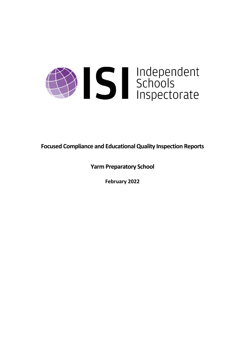

**Focused Compliance and EducationalQuality Inspection Reports**

**Yarm Preparatory School**

**February 2022**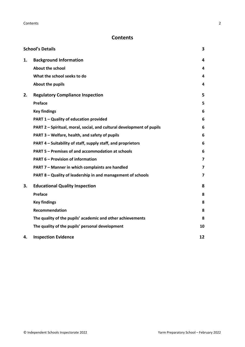# **Contents**

|    | <b>School's Details</b>                                               | 3                       |
|----|-----------------------------------------------------------------------|-------------------------|
| 1. | <b>Background Information</b>                                         | 4                       |
|    | <b>About the school</b>                                               | 4                       |
|    | What the school seeks to do                                           | 4                       |
|    | About the pupils                                                      | 4                       |
| 2. | <b>Regulatory Compliance Inspection</b>                               | 5                       |
|    | Preface                                                               | 5                       |
|    | <b>Key findings</b>                                                   | 6                       |
|    | PART 1 - Quality of education provided                                | 6                       |
|    | PART 2 - Spiritual, moral, social, and cultural development of pupils | 6                       |
|    | PART 3 - Welfare, health, and safety of pupils                        | 6                       |
|    | PART 4 – Suitability of staff, supply staff, and proprietors          | 6                       |
|    | PART 5 - Premises of and accommodation at schools                     | 6                       |
|    | <b>PART 6 - Provision of information</b>                              | $\overline{\mathbf{z}}$ |
|    | PART 7 - Manner in which complaints are handled                       | $\overline{\mathbf{z}}$ |
|    | PART 8 - Quality of leadership in and management of schools           | $\overline{\mathbf{z}}$ |
| 3. | <b>Educational Quality Inspection</b>                                 | 8                       |
|    | Preface                                                               | 8                       |
|    | <b>Key findings</b>                                                   | 8                       |
|    | <b>Recommendation</b>                                                 | 8                       |
|    | The quality of the pupils' academic and other achievements            | 8                       |
|    | The quality of the pupils' personal development                       | 10                      |
| 4. | <b>Inspection Evidence</b>                                            | 12                      |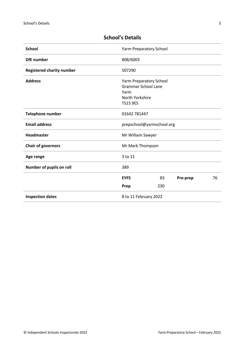| <b>School</b>                    | Yarm Preparatory School    |     |          |    |
|----------------------------------|----------------------------|-----|----------|----|
| <b>DfE</b> number                | 808/6003                   |     |          |    |
| <b>Registered charity number</b> | 507290                     |     |          |    |
| <b>Address</b>                   | Yarm Preparatory School    |     |          |    |
|                                  | <b>Grammar School Lane</b> |     |          |    |
|                                  | Yarm                       |     |          |    |
|                                  | North Yorkshire            |     |          |    |
|                                  | <b>TS15 9ES</b>            |     |          |    |
| <b>Telephone number</b>          | 01642 781447               |     |          |    |
| <b>Email address</b>             | prepschool@yarmschool.org  |     |          |    |
| <b>Headmaster</b>                | Mr William Sawyer          |     |          |    |
| <b>Chair of governors</b>        | Mr Mark Thompson           |     |          |    |
| Age range                        | 3 to 11                    |     |          |    |
| Number of pupils on roll         | 389                        |     |          |    |
|                                  | <b>EYFS</b>                | 83  | Pre-prep | 76 |
|                                  | Prep                       | 230 |          |    |
| <b>Inspection dates</b>          | 8 to 11 February 2022      |     |          |    |

# <span id="page-2-0"></span>**School's Details**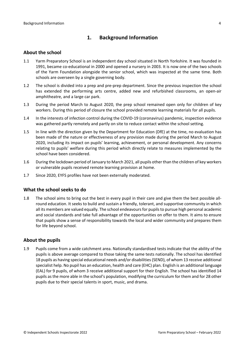# <span id="page-3-0"></span>**1. Background Information**

#### <span id="page-3-1"></span>**About the school**

- 1.1 Yarm Preparatory School is an independent day school situated in North Yorkshire. It was founded in 1991, became co-educational in 2000 and opened a nursery in 2003. It is now one of the two schools of the Yarm Foundation alongside the senior school, which was inspected at the same time. Both schools are overseen by a single governing body.
- 1.2 The school is divided into a prep and pre-prep department. Since the previous inspection the school has extended the performing arts centre, added new and refurbished classrooms, an open-air amphitheatre, and a large car park.
- 1.3 During the period March to August 2020, the prep school remained open only for children of key workers. During this period of closure the school provided remote learning materials for all pupils.
- 1.4 In the interests of infection control during the COVID-19 (coronavirus) pandemic, inspection evidence was gathered partly remotely and partly on site to reduce contact within the school setting.
- 1.5 In line with the direction given by the Department for Education (DfE) at the time, no evaluation has been made of the nature or effectiveness of any provision made during the period March to August 2020, including its impact on pupils' learning, achievement, or personal development. Any concerns relating to pupils' welfare during this period which directly relate to measures implemented by the school have been considered.
- 1.6 During the lockdown period of January to March 2021, all pupils other than the children of key workers or vulnerable pupils received remote learning provision at home.
- 1.7 Since 2020, EYFS profiles have not been externally moderated.

#### <span id="page-3-2"></span>**What the school seeks to do**

1.8 The school aims to bring out the best in every pupil in their care and give them the best possible allround education. It seeks to build and sustain a friendly, tolerant, and supportive community in which all its members are valued equally. The school endeavours for pupils to pursue high personal academic and social standards and take full advantage of the opportunities on offer to them. It aims to ensure that pupils show a sense of responsibility towards the local and wider community and prepares them for life beyond school.

#### <span id="page-3-3"></span>**About the pupils**

1.9 Pupils come from a wide catchment area. Nationally standardised tests indicate that the ability of the pupils is above average compared to those taking the same tests nationally. The school has identified 18 pupils as having special educational needs and/or disabilities(SEND), of whom 13 receive additional specialist help. No pupil has an education, health and care (EHC) plan. English is an additional language (EAL) for 9 pupils, of whom 3 receive additional support for their English. The school has identified 14 pupils asthe more able in the school's population, modifying the curriculum for them and for 28 other pupils due to their special talents in sport, music, and drama.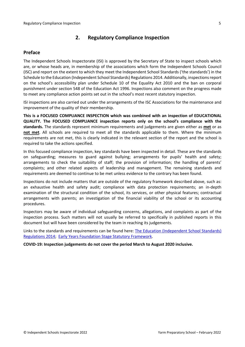# <span id="page-4-0"></span>**2. Regulatory Compliance Inspection**

### <span id="page-4-1"></span>**Preface**

The Independent Schools Inspectorate (ISI) is approved by the Secretary of State to inspect schools which are, or whose heads are, in membership of the associations which form the Independent Schools Council (ISC) and report on the extent to which they meet the Independent School Standards ('the standards') in the Schedule to the Education (Independent School Standards) Regulations 2014. Additionally, inspectionsreport on the school's accessibility plan under Schedule 10 of the Equality Act 2010 and the ban on corporal punishment under section 548 of the Education Act 1996. Inspections also comment on the progress made to meet any compliance action points set out in the school's most recent statutory inspection.

ISI inspections are also carried out under the arrangements of the ISC Associations for the maintenance and improvement of the quality of their membership.

**This is a FOCUSED COMPLIANCE INSPECTION which was combined with an inspection of EDUCATIONAL QUALITY. The FOCUSED COMPLIANCE inspection reports only on the school's compliance with the standards.** The standards represent minimum requirements and judgements are given either as **met** or as **not met**. All schools are required to meet all the standards applicable to them. Where the minimum requirements are not met, this is clearly indicated in the relevant section of the report and the school is required to take the actions specified.

In this focused compliance inspection, key standards have been inspected in detail. These are the standards on safeguarding; measures to guard against bullying; arrangements for pupils' health and safety; arrangements to check the suitability of staff; the provision of information; the handling of parents' complaints; and other related aspects of leadership and management. The remaining standards and requirements are deemed to continue to be met unless evidence to the contrary has been found.

Inspections do not include matters that are outside of the regulatory framework described above, such as: an exhaustive health and safety audit; compliance with data protection requirements; an in-depth examination of the structural condition of the school, its services, or other physical features; contractual arrangements with parents; an investigation of the financial viability of the school or its accounting procedures.

Inspectors may be aware of individual safeguarding concerns, allegations, and complaints as part of the inspection process. Such matters will not usually be referred to specifically in published reports in this document but will have been considered by the team in reaching its judgements.

Links to the standards and requirements can be found here: The Education [\(Independent](http://www.legislation.gov.uk/uksi/2014/3283/contents/made) School Standards) [Regulations](http://www.legislation.gov.uk/uksi/2014/3283/contents/made) 2014; Early Years Foundation Stage Statutory [Framework.](https://www.gov.uk/government/publications/early-years-foundation-stage-framework--2)

**COVID-19: Inspection judgements do not cover the period March to August 2020 inclusive.**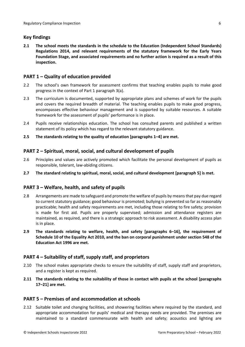### <span id="page-5-0"></span>**Key findings**

**2.1 The school meets the standards in the schedule to the Education (Independent School Standards) Regulations 2014, and relevant requirements of the statutory framework for the Early Years Foundation Stage, and associated requirements and no further action is required as a result of this inspection.**

### <span id="page-5-1"></span>**PART 1 – Quality of education provided**

- 2.2 The school's own framework for assessment confirms that teaching enables pupils to make good progress in the context of Part 1 paragraph 3(a).
- 2.3 The curriculum is documented, supported by appropriate plans and schemes of work for the pupils and covers the required breadth of material. The teaching enables pupils to make good progress, encompasses effective behaviour management and is supported by suitable resources. A suitable framework for the assessment of pupils' performance is in place.
- 2.4 Pupils receive relationships education. The school has consulted parents and published a written statement of its policy which has regard to the relevant statutory guidance.
- **2.5 The standards relating to the quality of education [paragraphs 1–4] are met.**

### <span id="page-5-2"></span>**PART 2 – Spiritual, moral, social, and cultural development of pupils**

- 2.6 Principles and values are actively promoted which facilitate the personal development of pupils as responsible, tolerant, law-abiding citizens.
- **2.7 The standard relating to spiritual, moral, social, and cultural development [paragraph 5] is met.**

### <span id="page-5-3"></span>**PART 3 – Welfare, health, and safety of pupils**

- 2.8 Arrangements are made to safeguard and promote the welfare of pupils by means that pay due regard to current statutory guidance; good behaviour is promoted; bullying is prevented so far as reasonably practicable; health and safety requirements are met, including those relating to fire safety; provision is made for first aid. Pupils are properly supervised; admission and attendance registers are maintained, as required, and there is a strategic approach to risk assessment. A disability access plan is in place.
- **2.9 The standards relating to welfare, health, and safety [paragraphs 6–16], the requirement of Schedule 10 of the Equality Act 2010, and the ban on corporal punishment under section 548 of the Education Act 1996 are met.**

### <span id="page-5-4"></span>**PART 4 – Suitability of staff, supply staff, and proprietors**

- 2.10 The school makes appropriate checks to ensure the suitability of staff, supply staff and proprietors, and a register is kept as required.
- **2.11 The standards relating to the suitability of those in contact with pupils at the school [paragraphs 17–21] are met.**

### <span id="page-5-5"></span>**PART 5 – Premises of and accommodation at schools**

2.12 Suitable toilet and changing facilities, and showering facilities where required by the standard, and appropriate accommodation for pupils' medical and therapy needs are provided. The premises are maintained to a standard commensurate with health and safety; acoustics and lighting are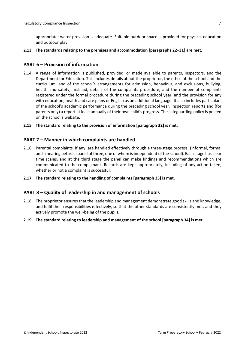appropriate; water provision is adequate. Suitable outdoor space is provided for physical education and outdoor play.

**2.13 The standards relating to the premises and accommodation [paragraphs 22–31] are met.**

#### <span id="page-6-0"></span>**PART 6 – Provision of information**

- 2.14 A range of information is published, provided, or made available to parents, inspectors, and the Department for Education. This includes details about the proprietor, the ethos of the school and the curriculum, and of the school's arrangements for admission, behaviour, and exclusions, bullying, health and safety, first aid, details of the complaints procedure, and the number of complaints registered under the formal procedure during the preceding school year, and the provision for any with education, health and care plans or English as an additional language. It also includes particulars of the school's academic performance during the preceding school year, inspection reports and (for parents only) a report at least annually of their own child's progress. The safeguarding policy is posted on the school's website.
- **2.15 The standard relating to the provision of information [paragraph 32] is met.**

#### <span id="page-6-1"></span>**PART 7 – Manner in which complaints are handled**

- 2.16 Parental complaints, if any, are handled effectively through a three-stage process, (informal, formal and a hearing before a panel of three, one of whom isindependent of the school). Each stage has clear time scales, and at the third stage the panel can make findings and recommendations which are communicated to the complainant. Records are kept appropriately, including of any action taken, whether or not a complaint is successful.
- **2.17 The standard relating to the handling of complaints [paragraph 33] is met.**

#### <span id="page-6-2"></span>**PART 8 – Quality of leadership in and management of schools**

- 2.18 The proprietor ensures that the leadership and management demonstrate good skills and knowledge, and fulfil their responsibilities effectively, so that the other standards are consistently met, and they actively promote the well-being of the pupils.
- **2.19 The standard relating to leadership and management of the school [paragraph 34] is met.**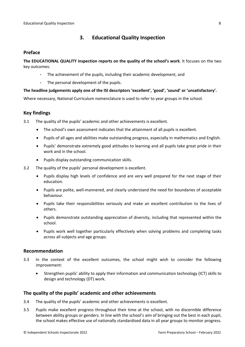# <span id="page-7-0"></span>**3. Educational Quality Inspection**

#### <span id="page-7-1"></span>**Preface**

**The EDUCATIONAL QUALITY inspection reports on the quality of the school's work**. It focuses on the two key outcomes:

- The achievement of the pupils, including their academic development, and
- The personal development of the pupils.

#### **The headline judgements apply one of the ISI descriptors 'excellent', 'good', 'sound' or 'unsatisfactory'.**

Where necessary, National Curriculum nomenclature is used to refer to year groups in the school.

### <span id="page-7-2"></span>**Key findings**

3.1 The quality of the pupils' academic and other achievements is excellent.

- The school's own assessment indicates that the attainment of all pupils is excellent.
- Pupils of all ages and abilities make outstanding progress, especially in mathematics and English.
- Pupils' demonstrate extremely good attitudes to learning and all pupils take great pride in their work and in the school.
- Pupils display outstanding communication skills.
- 3.2 The quality of the pupils' personal development is excellent.
	- Pupils display high levels of confidence and are very well prepared for the next stage of their education.
	- Pupils are polite, well-mannered, and clearly understand the need for boundaries of acceptable behaviour.
	- Pupils take their responsibilities seriously and make an excellent contribution to the lives of others.
	- Pupils demonstrate outstanding appreciation of diversity, including that represented within the school.
	- Pupils work well together particularly effectively when solving problems and completing tasks across all subjects and age groups.

### <span id="page-7-3"></span>**Recommendation**

- 3.3 In the context of the excellent outcomes, the school might wish to consider the following improvement:
	- Strengthen pupils' ability to apply their information and communication technology (ICT) skills to design and technology (DT) work.

#### <span id="page-7-4"></span>**The quality of the pupils' academic and other achievements**

- 3.4 The quality of the pupils' academic and other achievements is excellent.
- 3.5 Pupils make excellent progress throughout their time at the school, with no discernible difference between ability groups or genders. In line with the school's aim of bringing out the best in each pupil, the school makes effective use of nationally standardised data in all year groups to monitor progress.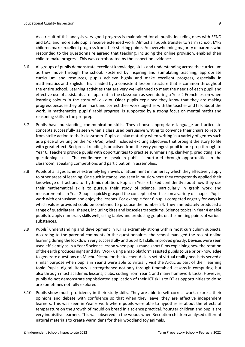As a result of this analysis very good progress is maintained for all pupils, including ones with SEND and EAL, and more able pupils receive extended work. Almost all pupils transfer to Yarm school. EYFS children make excellent progress from their starting points. An overwhelming majority of parents who responded to the questionnaire agreed that teaching, including the online provision, enabled their child to make progress. This was corroborated by the inspection evidence.

- 3.6 All groups of pupils demonstrate excellent knowledge, skills and understanding across the curriculum as they move through the school. Fostered by inspiring and stimulating teaching, appropriate curriculum and resources, pupils achieve highly and make excellent progress, especially in mathematics and English. This is aided by a consistent lesson structure that is common throughout the entire school. Learning activities that are very well-planned to meet the needs of each pupil and effective use of assistants are apparent in the classroom as seen during a Year 2 French lesson when learning colours in the story of *La Loup*. Older pupils explained they know that they are making progress because they often mark and correct their work together with the teacher and talk about the work. In mathematics, pupils' rapid progress, is supported by a strong focus on mental maths and reasoning skills in the pre-prep.
- 3.7 Pupils have outstanding communication skills. They choose appropriate language and articulate concepts successfully as seen when a class used persuasive writing to convince their chairs to return from strike action to their classroom. Pupils display maturity when writing in a variety of genres such as a piece of writing on the *Iron Man*, which included exciting adjectives that brought the story to life with great effect. Reciprocal reading is practised from the very youngest pupil in pre-prep through to Year 6. Teachers provide pupils with opportunities to practise summarising, clarifying, predicting, and questioning skills. The confidence to speak in public is nurtured through opportunities in the classroom, speaking competitions and participation in assemblies.
- 3.8 Pupils of all ages achieve extremely high levels of attainment in numeracy which they effectively apply to other areas of learning. One such instance was seen in music where they competently applied their knowledge of fractions to rhythmic notation. Pupils in Year 5 talked confidently about how they use their mathematical skills to pursue their study of science, particularly in graph work and measurements. In Year 2 pupils quickly grasped the concepts of vertices on a variety of shapes. Pupils work with enthusiasm and enjoy the lessons. For example Year 6 pupils competed eagerly for ways in which values provided could be combined to produce the number 24. They immediately produced a range of quadrilateral shapes, including kites and isosceles trapeziums. Science topics in Year 4 enable pupils to apply numeracy skills well, using tables and producing graphs on the melting points of various substances.
- 3.9 Pupils' understanding and development in ICT is extremely strong within most curriculum subjects. According to the parental comments in the questionnaires, the school managed the recent online learning during the lockdown very successfully and pupil ICT skills improved greatly. Devices were seen used efficiently as in a Year 5 science lesson when pupils made short films explaining how the rotation of the earth produces night and day. Work using a map platform assisted pupils to use prior knowledge to generate questions on Machu Picchu for the teacher. A class set of virtual reality headsets served a similar purpose when pupils in Year 3 were able to virtually visit the Arctic as part of their learning topic. Pupils' digital literacy is strengthened not only through timetabled lessons in computing, but also through most academic lessons, clubs, coding from Year 1 and many homework tasks. However, pupils do not demonstrate sophisticated application of their ICT skills to DT as opportunities to do so are sometimes not fully explored.
- 3.10 Pupils show much proficiency in their study skills. They are able to self-correct work, express their opinions and debate with confidence so that when they leave, they are effective independent learners. This was seen in Year 6 work where pupils were able to hypothesise about the effects of temperature on the growth of mould on bread in a science practical. Younger children and pupils are very inquisitive learners. This was observed in the woods when Reception children analysed different natural materials to create warm dens for their woodland toy animals.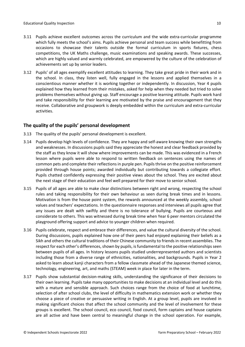- 3.11 Pupils achieve excellent outcomes across the curriculum and the wide extra-curricular programme which fully meets the school's aims. Pupils achieve personal and team success while benefitting from occasions to showcase their talents outside the formal curriculum in sports fixtures, chess competitions, the UK Maths challenge, music examinations and speaking awards. These successes, which are highly valued and warmly celebrated, are empowered by the culture of the celebration of achievements set up by senior leaders.
- 3.12 Pupils' of all ages exemplify excellent attitudes to learning. They take great pride in their work and in the school. In class, they listen well, fully engaged in the lessons and applied themselves in a conscientious manner whether it is working together or independently. In discussion, Year 4 pupils explained how they learned from their mistakes, asked for help when they needed but tried to solve problems themselves without giving up. Staff encourage a positive learning attitude. Pupils work hard and take responsibility for their learning are motivated by the praise and encouragement that they receive. Collaborative and groupwork is deeply embedded within the curriculum and extra-curricular activities.

# <span id="page-9-0"></span>**The quality of the pupils' personal development**

- 3.13 The quality of the pupils' personal development is excellent.
- 3.14 Pupils develop high levels of confidence. They are happy and self-aware knowing their own strengths and weaknesses. In discussions pupils said they appreciate the honest and clear feedback provided by the staff as they know it will show where improvements can be made. This was evidenced in a French lesson where pupils were able to respond to written feedback on sentences using the names of common pets and complete their reflections in purple pen. Pupils thrive on the positive reinforcement provided through house points; awarded individually but contributing towards a collegiate effort. Pupils chatted confidently expressing their positive views about the school. They are excited about the next stage of their education and feel well prepared for their move to senior school.
- 3.15 Pupils of all ages are able to make clear distinctions between right and wrong, respecting the school rules and taking responsibility for their own behaviour as seen during break times and in lessons. Motivation is from the house point system, the rewards announced at the weekly assembly, school values and teachers' expectations. In the questionnaire responses and interviews all pupils agree that any issues are dealt with swiftly and there is no tolerance of bullying. Pupils are courteous and considerate to others. This was witnessed during break time when Year 6 peer mentors circulated the playground offering support and advice to younger children when required.
- 3.16 Pupils celebrate, respect and embrace their differences, and value the cultural diversity of the school. During discussions, pupils explained how one of their peers had enjoyed explaining their beliefs as a Sikh and others the cultural traditions of their Chinese community to friends in recent assemblies. The respect for each other's differences, shown by pupils, is fundamental to the positive relationships seen between pupils of all ages. In history lessons pupils studied underrepresented authors and scientists including those from a diverse range of ethnicities, nationalities, and backgrounds. Pupils in Year 2 asked to learn about kanji characters from a fellow classmate ahead of the Japanese themed science, technology, engineering, art, and maths (STEAM) week in place for later in the term.
- 3.17 Pupils show substantial decision-making skills, understanding the significance of their decisions to their own learning. Pupils take many opportunities to make decisions at an individual level and do this with a mature and sensible approach. Such choices range from the choice of food at lunchtime, selection of after school clubs, the level of difficulty in mathematics extension work or whether they choose a piece of creative or persuasive writing in English. At a group level, pupils are involved in making significant choices that affect the school community and the level of involvement for these groups is excellent. The school council, eco council, food council, form captains and house captains are all active and have been central to meaningful change in the school operation. For example,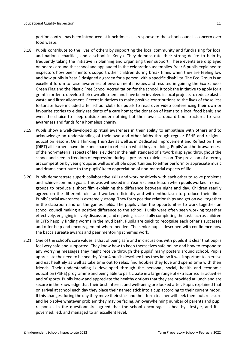portion control has been introduced at lunchtimes as a response to the school council's concern over food waste.

- 3.18 Pupils contribute to the lives of others by supporting the local community and fundraising for local and national charities, and a school in Kenya. They demonstrate their strong desire to help by frequently taking the initiative in planning and organising their support. These events are displayed on boards around the school and applauded in the celebration assemblies. Year 6 pupils explained to inspectors how peer mentors support other children during break times when they are feeling low and how pupils in Year 3 designed a garden for a person with a specific disability. The Eco Group is an excellent forum to raise awareness of environmental issues and resulted in gaining the Eco Schools Green Flag and the Plastic Free School Accreditation for the school. It took the initiative to apply for a grant in order to develop their own allotment and have been involved in local projects to reduce plastic waste and litter allotment. Recent initiatives to make positive contributions to the lives of those less fortunate have included after school clubs for pupils to read over video conferencing their own or favourite stories to elderly residents of a care home; the donation of items to a local food bank; and even the choice to sleep outside under nothing but their own cardboard box structures to raise awareness and funds for a homeless charity.
- 3.19 Pupils show a well-developed spiritual awareness in their ability to empathise with others and to acknowledge an understanding of their own and other faiths through regular PSHE and religious education lessons. On a Thinking Thursday as well as in Dedicated Improvement and Reflection Time (DIRT) all learners have time and space to reflect on what they are doing. Pupils' aesthetic awareness of the non-material aspects of life is evident in the high standard of artwork displayed throughout the school and seen in freedom of expression during a pre-prep ukulele lesson. The provision of a termly art competition by year groups as well as multiple opportunitiesto either perform or appreciate music and drama contribute to the pupils' keen appreciation of non-material aspects of life.
- 3.20 Pupils demonstrate superb collaborative skills and work positively with each other to solve problems and achieve common goals. This was witnessed in a Year 5 science lesson when pupils worked in small groups to produce a short film explaining the difference between night and day. Children readily agreed on the different roles and worked efficiently and with enthusiasm to produce their films. Pupils' social awareness is extremely strong. They form positive relationships and get on well together in the classroom and on the games fields. The pupils value the opportunities to work together on school council making a positive difference to the school. Pupils were often seen working together effectively, engaging in lively discussion, and enjoying successfully completing the task such as children in EYFS happily finding worms in the mud bath. Pupils are quick to recognise each other's successes and offer help and encouragement where needed. The senior pupils described with confidence how the baccalaureate awards and peer mentoring schemes work.
- 3.21 One of the school's core values is that of being safe and in discussions with pupils it is clear that pupils feel very safe and supported. They know how to keep themselves safe online and how to respond to any worrying messages they might receive through the pupils' many posters around school. Pupils appreciate the need to be healthy. Year 4 pupils described how they knew it wasimportant to exercise and eat healthily as well as take time out to relax, find hobbies they love and spend time with their friends. Their understanding is developed through the personal, social, health and economic education (PSHE) programme and being able to participate in a large range of extracurricular activities and of sports. Pupils know and appreciate the healthy options that they are provided at lunch and are secure in the knowledge that their best interest and well-being are looked after. Pupils explained that on arrival at school each day they place their named stick into a cup according to their current mood. If this changes during the day they move their stick and their form teacher will seek them out, reassure and help solve whatever problem they may be facing. An overwhelming number of parents and pupil responses in the questionnaire agreed that the school encourages a healthy lifestyle, and it is governed, led, and managed to an excellent level.